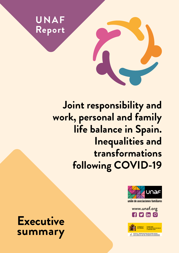

**Joint responsibility and work, personal and family life balance in Spain. Inequalities and transformations following COVID-19**



unión de asociaciones familiares

[www.unaf.org](http://www.unaf.org)  $\mathbf{F}$   $\mathbf{y}$  in  $\mathbf{C}$ 



**Executive summary**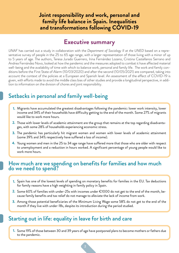#### **Joint responsibility and work, personal and family life balance in Spain. Inequalities and transformations following COVID-19**

## **Executive summary**

*UNAF* has carried out a study in collaboration with the *Department of Sociology II at the UNED* based on a representative survey of people in the 25 to 65 age range, with a larger representation of those living with a minor of up to 5 years of age. The authors, Teresa Jurado Guerrero, Irina Fernández Lozano, Cristina Castellanos Serrano and Andrea Fernández Novo, looked at how the pandemic and the measures adopted to combat it have affected material well-being and the availability of time with which to balance work, personal and family life. The work and family conditions before the First State of Alarm (10/03/2020) and after the second (10/05/2021) are compared, taking into account the context of the policies at a European and Spanish level. An assessment of the effect of COVID-19 is given, with efforts made to avoid the middle class bias of other studies and provide a longitudinal perspective, in addition to information on the division of chores and joint responsibility.

## Setbacks in personal and family well-being

- Migrants have accumulated the greatest disadvantages following the pandemic: lower work intensity, lower **1.** income and 34% of their households have difficulty getting to the end of the month. Some 27% of migrants would like to work more hours.
- Those with lower levels of academic attainment are the group that remains at the top regarding disadvanta-**2.** ges, with some 28% of households experiencing economic stress.
- **3.** The pandemic has particularly hit migrant women and women with lower levels of academic attainment (some 39% and 34% respectively have suffered a loss of income).
- Young women and men in the 25 to 34 age range have suffered more that those who are older with respect **4.** to unemployment and a reduction in hours worked. A significant percentage of young people would like to work more hours.

#### How much are we spending on benefits for families and how much do we need to spend?

- **1.** Spain has one of the lowest levels of spending on monetary benefits for families in the EU. Tax deductions for family reasons have a high weighting in family policy in Spain.
- $\,$   $\,$  Some 60% of families with under-25s with incomes under  $\epsilon$ 1000 do not get to the end of the month, because family benefits and tax relief do not manage to alleviate the lack of income from work.
- Among those potential beneficiaries of the Minimum Living Wage some 58% do not get to the end of the **3.** month if they live with under-18s, despite its introduction during the period studied.

### Starting out in life: equality in leave for birth and care

Some 19% of those between 30 and 39 years of age have postponed plans to become mothers or fathers due **1.** to the pandemic.

2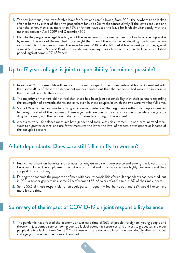- The new individual, non-transferable leave for "birth and care" allowed, from 2021, the newborn to be looked **2.** after at home by either of their two progenitors for up to 26 weeks consecutively, if the leaves are used one after the other. However, more than 75% of fathers have used the leave for birth simultaneously with the mothers between April 2019 and December 2021.
- Despite the progressive legal levelling up of the leave duration, its use by men is not as fully taken up as it is **3.** by women. The work of the man had more weight that than of the woman when deciding how to use the leave. Some 13% of the men who used the leave between 2016 and 2021 used at least a week part-time, against some 4% of women. Some 20% of mothers did not take any weeks' leave or less than the legally established period, against some 40% of fathers.

## Up to 17 years of age: is joint responsibility for minors possible?

- In some 42% of households with minors, those minors spent time in quarantine at home. Consistent with **1.** that, some 40% of those with dependent minors pointed out that the pandemic had meant an increase in the time dedicated to their care.
- The majority of mothers did not feel that there had been joint responsibility with their partners regarding **2.** the assumption of domestic chores and care, even in those couples in which the two were working full time.
- Some 17% of fathers and mothers living as a couple pointed out that arguments within the couple increased **3.** following the start of the pandemic. These arguments are due to the intensification of cohabitation (according to the men) and the division of domestic chores (according to the women).
- Access to work-life balance measures have gender and social class bias: women use non-remunerated mea-**4.** sures to a greater extent, and use fewer measures the lower the level of academic attainment or income of the occupied persons.

### Adult dependants: Does care still fall chiefly to women?

- Public investment on benefits and services for long-term care is very scarce and among the lowest in the **1.** European Union. The employment conditions of formal and informal carers are highly precarious and they are paid little or nothing.
- During the pandemic the proportion of men with care responsibilities for adult dependants has increased, but **2.** in 2021 a gender gap remains: some 27% of women (55-65 years of age) against 18% of their male peers.
- Some 55% of those responsible for an adult person frequently feel burnt out, and 33% would like to have **3.** more leisure time.

## Summary of the impact of COVID-19 on joint responsibility balance

The pandemic has affected the economy and/or care time of 56% of people: foreigners, young people and **1.** those with just compulsory schooling due to a lack of economic resources, and university graduates and older people due to a lack of time. Some 15% of those with care responsibilities have been doubly affected. Social and age gaps have become more entrenched.